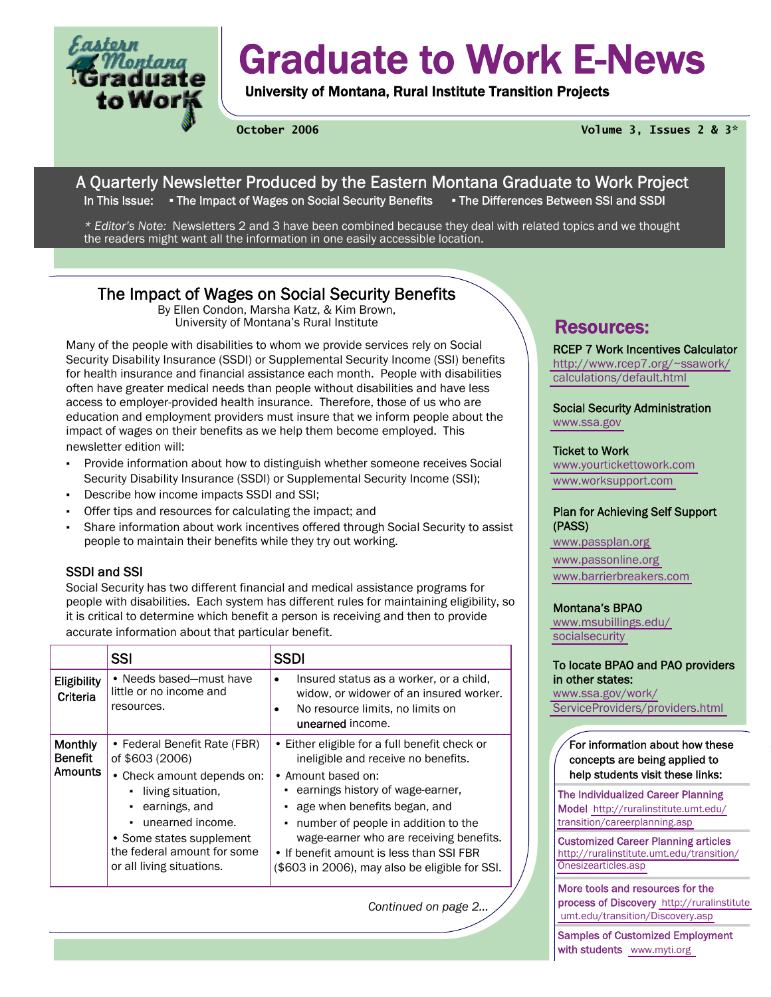

# Graduate to Work E-News

University of Montana, Rural Institute Transition Projects

**October 2006 Volume 3, Issues 2 & 3\*** 

## A Quarterly Newsletter Produced by the Eastern Montana Graduate to Work Project In This Issue: • The Impact of Wages on Social Security Benefits • The Differences Between SSI and SSDI

*\* Editor's Note:* Newsletters 2 and 3 have been combined because they deal with related topics and we thought the readers might want all the information in one easily accessible location.

## The Impact of Wages on Social Security Benefits

By Ellen Condon, Marsha Katz, & Kim Brown, University of Montana's Rural Institute **Resources:** 

Many of the people with disabilities to whom we provide services rely on Social Security Disability Insurance (SSDI) or Supplemental Security Income (SSI) benefits for health insurance and financial assistance each month. People with disabilities often have greater medical needs than people without disabilities and have less access to employer-provided health insurance. Therefore, those of us who are education and employment providers must insure that we inform people about the impact of wages on their benefits as we help them become employed. This newsletter edition will:

- Provide information about how to distinguish whether someone receives Social Security Disability Insurance (SSDI) or Supplemental Security Income (SSI);
- Describe how income impacts SSDI and SSI;
- Offer tips and resources for calculating the impact; and
- Share information about work incentives offered through Social Security to assist people to maintain their benefits while they try out working.

## SSDI and SSI

Social Security has two different financial and medical assistance programs for people with disabilities. Each system has different rules for maintaining eligibility, so it is critical to determine which benefit a person is receiving and then to provide accurate information about that particular benefit.

|                                                    | <b>SSI</b>                                                                                                                                                                                                                              | <b>SSDI</b>                                                                                                                                                                                                                                                                                                                                                    |
|----------------------------------------------------|-----------------------------------------------------------------------------------------------------------------------------------------------------------------------------------------------------------------------------------------|----------------------------------------------------------------------------------------------------------------------------------------------------------------------------------------------------------------------------------------------------------------------------------------------------------------------------------------------------------------|
| <b>Eligibility</b><br>Criteria                     | • Needs based-must have<br>little or no income and<br>resources.                                                                                                                                                                        | Insured status as a worker, or a child,<br>widow, or widower of an insured worker.<br>No resource limits, no limits on<br>unearned income.                                                                                                                                                                                                                     |
| <b>Monthly</b><br><b>Benefit</b><br><b>Amounts</b> | • Federal Benefit Rate (FBR)<br>of \$603 (2006)<br>• Check amount depends on:<br>living situation,<br>$\cdot$ earnings, and<br>unearned income.<br>• Some states supplement<br>the federal amount for some<br>or all living situations. | • Either eligible for a full benefit check or<br>ineligible and receive no benefits.<br>• Amount based on:<br>earnings history of wage-earner,<br>age when benefits began, and<br>number of people in addition to the<br>wage-earner who are receiving benefits.<br>• If benefit amount is less than SSI FBR<br>(\$603 in 2006), may also be eligible for SSI. |

*Continued on page 2...* 

RCEP 7 Work Incentives Calculator [http://www.rcep7.org/~ssawork/](http://www.rcep7.org/~ssawork/calculations/default.html) [calculations/default.html](http://www.rcep7.org/~ssawork/calculations/default.html) 

Social Security Administration <www.ssa.gov>

## Ticket to Work

[www.yourtickettowork.com](http://www.yourtickettowork.com)  [www.worksupport.com](http://www.worksupport.com) 

## Plan for Achieving Self Support (PASS)

[www.passplan.org](http://www.passplan.org)  [www.passonline.org](http://www.passonline.org)  [www.barrierbreakers.com](http://www.barrierbreakers.com) 

## Montana's BPAO

[www.msubillings.edu/](http://www.msubillings.edu/socialsecurity) [socialsecurity](http://www.msubillings.edu/socialsecurity) 

### To locate BPAO and PAO providers in other states:

[www.ssa.gov/work/](http://www.ssa.gov/work/ServiceProviders/providers.html) [ServiceProviders/providers.html](http://www.ssa.gov/work/ServiceProviders/providers.html) 

## For information about how these concepts are being applied to help students visit these links:

The Individualized Career Planning Model [http://ruralinstitute.umt.edu/](http://ruralinstitute.umt.edu/transition/careerplanning.asp) [transition/careerplanning.asp](http://ruralinstitute.umt.edu/transition/careerplanning.asp) 

Customized Career Planning articles [http://ruralinstitute.umt.edu/transition/](http://ruralinstitute.umt.edu/transition/Onesizearticles.asp) [Onesizearticles.asp](http://ruralinstitute.umt.edu/transition/Onesizearticles.asp) 

More tools and resources for the process of Discovery [http://ruralinstitute](http://ruralinstitute.umt.edu/transition/Discovery.asp)   [umt.edu/transition/Discovery.asp](http://ruralinstitute.umt.edu/transition/Discovery.asp) 

Samples of Customized Employment with students [www.myti.org](http://www.myti.org)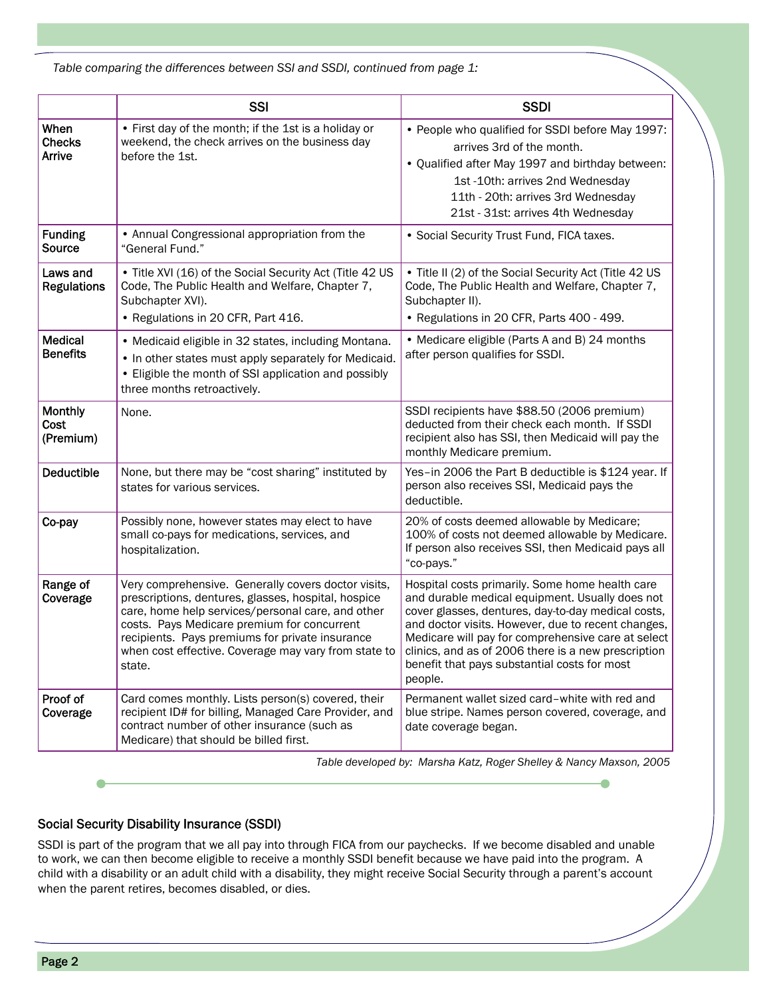|                                   | <b>SSI</b>                                                                                                                                                                                                                                                                                                                          | <b>SSDI</b>                                                                                                                                                                                                                                                                                                                                                                            |
|-----------------------------------|-------------------------------------------------------------------------------------------------------------------------------------------------------------------------------------------------------------------------------------------------------------------------------------------------------------------------------------|----------------------------------------------------------------------------------------------------------------------------------------------------------------------------------------------------------------------------------------------------------------------------------------------------------------------------------------------------------------------------------------|
| When<br><b>Checks</b><br>Arrive   | • First day of the month; if the 1st is a holiday or<br>weekend, the check arrives on the business day<br>before the 1st.                                                                                                                                                                                                           | • People who qualified for SSDI before May 1997:<br>arrives 3rd of the month.<br>• Qualified after May 1997 and birthday between:<br>1st -10th: arrives 2nd Wednesday<br>11th - 20th: arrives 3rd Wednesday<br>21st - 31st: arrives 4th Wednesday                                                                                                                                      |
| <b>Funding</b><br>Source          | • Annual Congressional appropriation from the<br>"General Fund."                                                                                                                                                                                                                                                                    | • Social Security Trust Fund, FICA taxes.                                                                                                                                                                                                                                                                                                                                              |
| Laws and<br><b>Regulations</b>    | • Title XVI (16) of the Social Security Act (Title 42 US<br>Code, The Public Health and Welfare, Chapter 7,<br>Subchapter XVI).<br>• Regulations in 20 CFR, Part 416.                                                                                                                                                               | • Title II (2) of the Social Security Act (Title 42 US<br>Code, The Public Health and Welfare, Chapter 7,<br>Subchapter II).<br>• Regulations in 20 CFR, Parts 400 - 499.                                                                                                                                                                                                              |
| <b>Medical</b><br><b>Benefits</b> | • Medicaid eligible in 32 states, including Montana.<br>• In other states must apply separately for Medicaid.<br>• Eligible the month of SSI application and possibly<br>three months retroactively.                                                                                                                                | • Medicare eligible (Parts A and B) 24 months<br>after person qualifies for SSDI.                                                                                                                                                                                                                                                                                                      |
| Monthly<br>Cost<br>(Premium)      | None.                                                                                                                                                                                                                                                                                                                               | SSDI recipients have \$88.50 (2006 premium)<br>deducted from their check each month. If SSDI<br>recipient also has SSI, then Medicaid will pay the<br>monthly Medicare premium.                                                                                                                                                                                                        |
| <b>Deductible</b>                 | None, but there may be "cost sharing" instituted by<br>states for various services.                                                                                                                                                                                                                                                 | Yes-in 2006 the Part B deductible is \$124 year. If<br>person also receives SSI, Medicaid pays the<br>deductible.                                                                                                                                                                                                                                                                      |
| Co-pay                            | Possibly none, however states may elect to have<br>small co-pays for medications, services, and<br>hospitalization.                                                                                                                                                                                                                 | 20% of costs deemed allowable by Medicare;<br>100% of costs not deemed allowable by Medicare.<br>If person also receives SSI, then Medicaid pays all<br>"co-pays."                                                                                                                                                                                                                     |
| Range of<br>Coverage              | Very comprehensive. Generally covers doctor visits,<br>prescriptions, dentures, glasses, hospital, hospice<br>care, home help services/personal care, and other<br>costs. Pays Medicare premium for concurrent<br>recipients. Pays premiums for private insurance<br>when cost effective. Coverage may vary from state to<br>state. | Hospital costs primarily. Some home health care<br>and durable medical equipment. Usually does not<br>cover glasses, dentures, day-to-day medical costs,<br>and doctor visits. However, due to recent changes,<br>Medicare will pay for comprehensive care at select<br>clinics, and as of 2006 there is a new prescription<br>benefit that pays substantial costs for most<br>people. |
| Proof of<br>Coverage              | Card comes monthly. Lists person(s) covered, their<br>recipient ID# for billing, Managed Care Provider, and<br>contract number of other insurance (such as<br>Medicare) that should be billed first.                                                                                                                                | Permanent wallet sized card-white with red and<br>blue stripe. Names person covered, coverage, and<br>date coverage began.                                                                                                                                                                                                                                                             |

*Table developed by: Marsha Katz, Roger Shelley & Nancy Maxson, 2005* 

## Social Security Disability Insurance (SSDI)

SSDI is part of the program that we all pay into through FICA from our paychecks. If we become disabled and unable to work, we can then become eligible to receive a monthly SSDI benefit because we have paid into the program. A child with a disability or an adult child with a disability, they might receive Social Security through a parent's account when the parent retires, becomes disabled, or dies.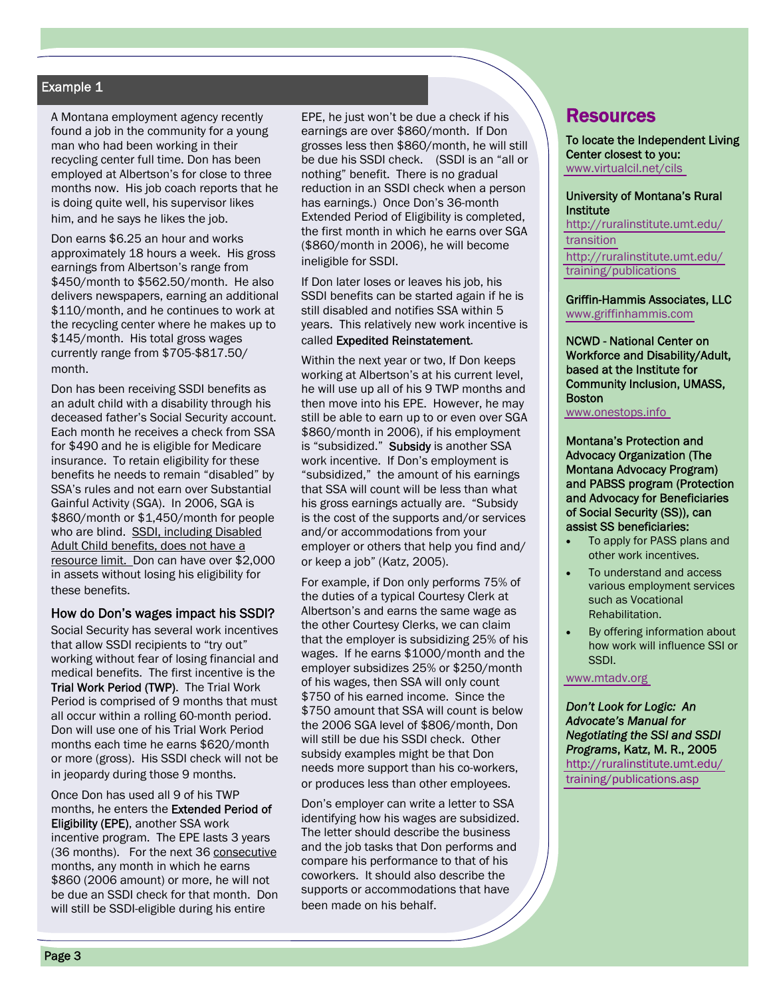## Example 1

A Montana employment agency recently found a job in the community for a young man who had been working in their recycling center full time. Don has been employed at Albertson's for close to three months now. His job coach reports that he is doing quite well, his supervisor likes him, and he says he likes the job.

Don earns \$6.25 an hour and works approximately 18 hours a week. His gross earnings from Albertson's range from \$450/month to \$562.50/month. He also delivers newspapers, earning an additional \$110/month, and he continues to work at the recycling center where he makes up to \$145/month. His total gross wages currently range from \$705-\$817.50/ month.

Don has been receiving SSDI benefits as an adult child with a disability through his deceased father's Social Security account. Each month he receives a check from SSA for \$490 and he is eligible for Medicare insurance. To retain eligibility for these benefits he needs to remain "disabled" by SSA's rules and not earn over Substantial Gainful Activity (SGA). In 2006, SGA is \$860/month or \$1,450/month for people who are blind. SSDI, including Disabled Adult Child benefits, does not have a resource limit. Don can have over \$2,000 in assets without losing his eligibility for these benefits.

### How do Don's wages impact his SSDI?

Social Security has several work incentives that allow SSDI recipients to "try out" working without fear of losing financial and medical benefits. The first incentive is the Trial Work Period (TWP). The Trial Work Period is comprised of 9 months that must all occur within a rolling 60-month period. Don will use one of his Trial Work Period months each time he earns \$620/month or more (gross). His SSDI check will not be in jeopardy during those 9 months.

Once Don has used all 9 of his TWP months, he enters the Extended Period of Eligibility (EPE), another SSA work incentive program. The EPE lasts 3 years (36 months). For the next 36 consecutive months, any month in which he earns \$860 (2006 amount) or more, he will not be due an SSDI check for that month. Don will still be SSDI-eligible during his entire

EPE, he just won't be due a check if his earnings are over \$860/month. If Don grosses less then \$860/month, he will still be due his SSDI check. (SSDI is an "all or nothing" benefit. There is no gradual reduction in an SSDI check when a person has earnings.) Once Don's 36-month Extended Period of Eligibility is completed, the first month in which he earns over SGA (\$860/month in 2006), he will become ineligible for SSDI.

If Don later loses or leaves his job, his SSDI benefits can be started again if he is still disabled and notifies SSA within 5 years. This relatively new work incentive is called Expedited Reinstatement.

Within the next year or two, If Don keeps working at Albertson's at his current level, he will use up all of his 9 TWP months and then move into his EPE. However, he may still be able to earn up to or even over SGA \$860/month in 2006), if his employment is "subsidized." Subsidy is another SSA work incentive. If Don's employment is "subsidized," the amount of his earnings that SSA will count will be less than what his gross earnings actually are. "Subsidy is the cost of the supports and/or services and/or accommodations from your employer or others that help you find and/ or keep a job" (Katz, 2005).

For example, if Don only performs 75% of the duties of a typical Courtesy Clerk at Albertson's and earns the same wage as the other Courtesy Clerks, we can claim that the employer is subsidizing 25% of his wages. If he earns \$1000/month and the employer subsidizes 25% or \$250/month of his wages, then SSA will only count \$750 of his earned income. Since the \$750 amount that SSA will count is below the 2006 SGA level of \$806/month, Don will still be due his SSDI check. Other subsidy examples might be that Don needs more support than his co-workers, or produces less than other employees.

Don's employer can write a letter to SSA identifying how his wages are subsidized. The letter should describe the business and the job tasks that Don performs and compare his performance to that of his coworkers. It should also describe the supports or accommodations that have been made on his behalf.

## **Resources**

To locate the Independent Living Center closest to you: [www.virtualcil.net/cils](http://www.virtualcil.net/cils) 

#### University of Montana's Rural **Institute**

[http://ruralinstitute.umt.edu/](http://ruralinstitute.umt.edu/transition) [transition](http://ruralinstitute.umt.edu/transition)  [http://ruralinstitute.umt.edu/](http://ruralinstitute.umt.edu/training/publications.asp) [training/publications](http://ruralinstitute.umt.edu/training/publications.asp) 

#### Griffin-Hammis Associates, LLC [www.griffinhammis.com](http://www.griffinhammis.com)

NCWD - National Center on Workforce and Disability/Adult, based at the Institute for Community Inclusion, UMASS, **Boston** 

[www.onestops.info](http://www.onestops.info) 

Montana's Protection and Advocacy Organization (The Montana Advocacy Program) and PABSS program (Protection and Advocacy for Beneficiaries of Social Security (SS)), can assist SS beneficiaries:

- To apply for PASS plans and other work incentives.
- To understand and access various employment services such as Vocational Rehabilitation.
- By offering information about how work will influence SSI or SSDI.

[www.mtadv.org](http://www.mtadv.org) 

*Don't Look for Logic: An Advocate's Manual for Negotiating the SSI and SSDI Programs*, Katz, M. R., 2005 [http://ruralinstitute.umt.edu/](http://ruralinstitute.umt.edu/training/publications.asp) [training/publications.asp](http://ruralinstitute.umt.edu/training/publications.asp)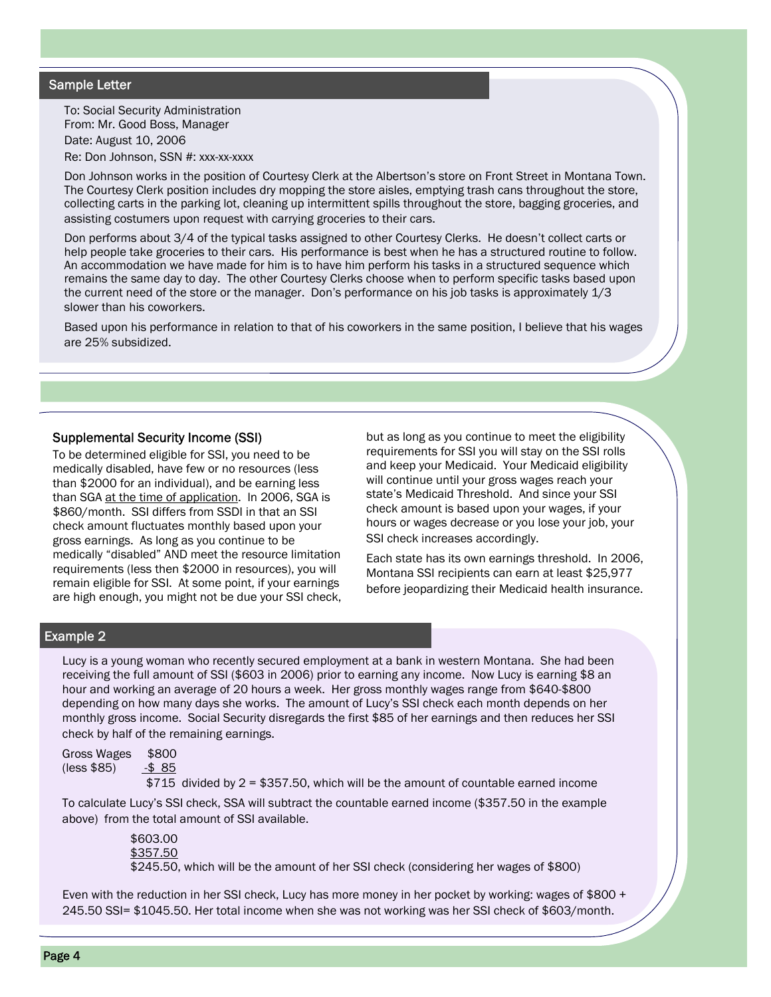## Sample Letter

To: Social Security Administration From: Mr. Good Boss, Manager Date: August 10, 2006 Re: Don Johnson, SSN #: xxx-xx-xxxx

Don Johnson works in the position of Courtesy Clerk at the Albertson's store on Front Street in Montana Town. The Courtesy Clerk position includes dry mopping the store aisles, emptying trash cans throughout the store, collecting carts in the parking lot, cleaning up intermittent spills throughout the store, bagging groceries, and assisting costumers upon request with carrying groceries to their cars.

Don performs about 3/4 of the typical tasks assigned to other Courtesy Clerks. He doesn't collect carts or help people take groceries to their cars. His performance is best when he has a structured routine to follow. An accommodation we have made for him is to have him perform his tasks in a structured sequence which remains the same day to day. The other Courtesy Clerks choose when to perform specific tasks based upon the current need of the store or the manager. Don's performance on his job tasks is approximately 1/3 slower than his coworkers.

Based upon his performance in relation to that of his coworkers in the same position, I believe that his wages are 25% subsidized.

### Supplemental Security Income (SSI)

To be determined eligible for SSI, you need to be medically disabled, have few or no resources (less than \$2000 for an individual), and be earning less than SGA at the time of application. In 2006, SGA is \$860/month. SSI differs from SSDI in that an SSI check amount fluctuates monthly based upon your gross earnings. As long as you continue to be medically "disabled" AND meet the resource limitation requirements (less then \$2000 in resources), you will remain eligible for SSI. At some point, if your earnings are high enough, you might not be due your SSI check,

but as long as you continue to meet the eligibility requirements for SSI you will stay on the SSI rolls and keep your Medicaid. Your Medicaid eligibility will continue until your gross wages reach your state's Medicaid Threshold. And since your SSI check amount is based upon your wages, if your hours or wages decrease or you lose your job, your SSI check increases accordingly.

Each state has its own earnings threshold. In 2006, Montana SSI recipients can earn at least \$25,977 before jeopardizing their Medicaid health insurance.

## Example 2

Lucy is a young woman who recently secured employment at a bank in western Montana. She had been receiving the full amount of SSI (\$603 in 2006) prior to earning any income. Now Lucy is earning \$8 an hour and working an average of 20 hours a week. Her gross monthly wages range from \$640-\$800 depending on how many days she works. The amount of Lucy's SSI check each month depends on her monthly gross income. Social Security disregards the first \$85 of her earnings and then reduces her SSI check by half of the remaining earnings.

| \$800<br>Gross Wages |              |
|----------------------|--------------|
| (less \$85)          | <u>-\$85</u> |

\$715 divided by 2 = \$357.50, which will be the amount of countable earned income

To calculate Lucy's SSI check, SSA will subtract the countable earned income (\$357.50 in the example above) from the total amount of SSI available.

> \$603.00 <u>\$357.50</u> \$245.50, which will be the amount of her SSI check (considering her wages of \$800)

Even with the reduction in her SSI check, Lucy has more money in her pocket by working: wages of \$800 + 245.50 SSI= \$1045.50. Her total income when she was not working was her SSI check of \$603/month.